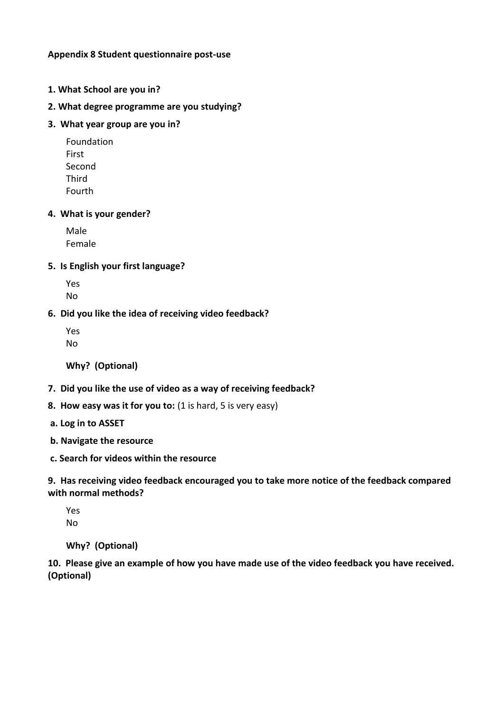# **Appendix 8 Student questionnaire post-use**

- **1. What School are you in?**
- **2. What degree programme are you studying?**
- **3. What year group are you in?**

Foundation First Second Third Fourth

#### **4. What is your gender?**

Male Female

### **5. Is English your first language?**

Yes No

### **6. Did you like the idea of receiving video feedback?**

Yes No

**Why? (Optional)**

- **7. Did you like the use of video as a way of receiving feedback?**
- **8. How easy was it for you to:** (1 is hard, 5 is very easy)
- **a. Log in to ASSET**
- **b. Navigate the resource**
- **c. Search for videos within the resource**

**9. Has receiving video feedback encouraged you to take more notice of the feedback compared with normal methods?** 

Yes No

**Why? (Optional)**

**10. Please give an example of how you have made use of the video feedback you have received. (Optional)**